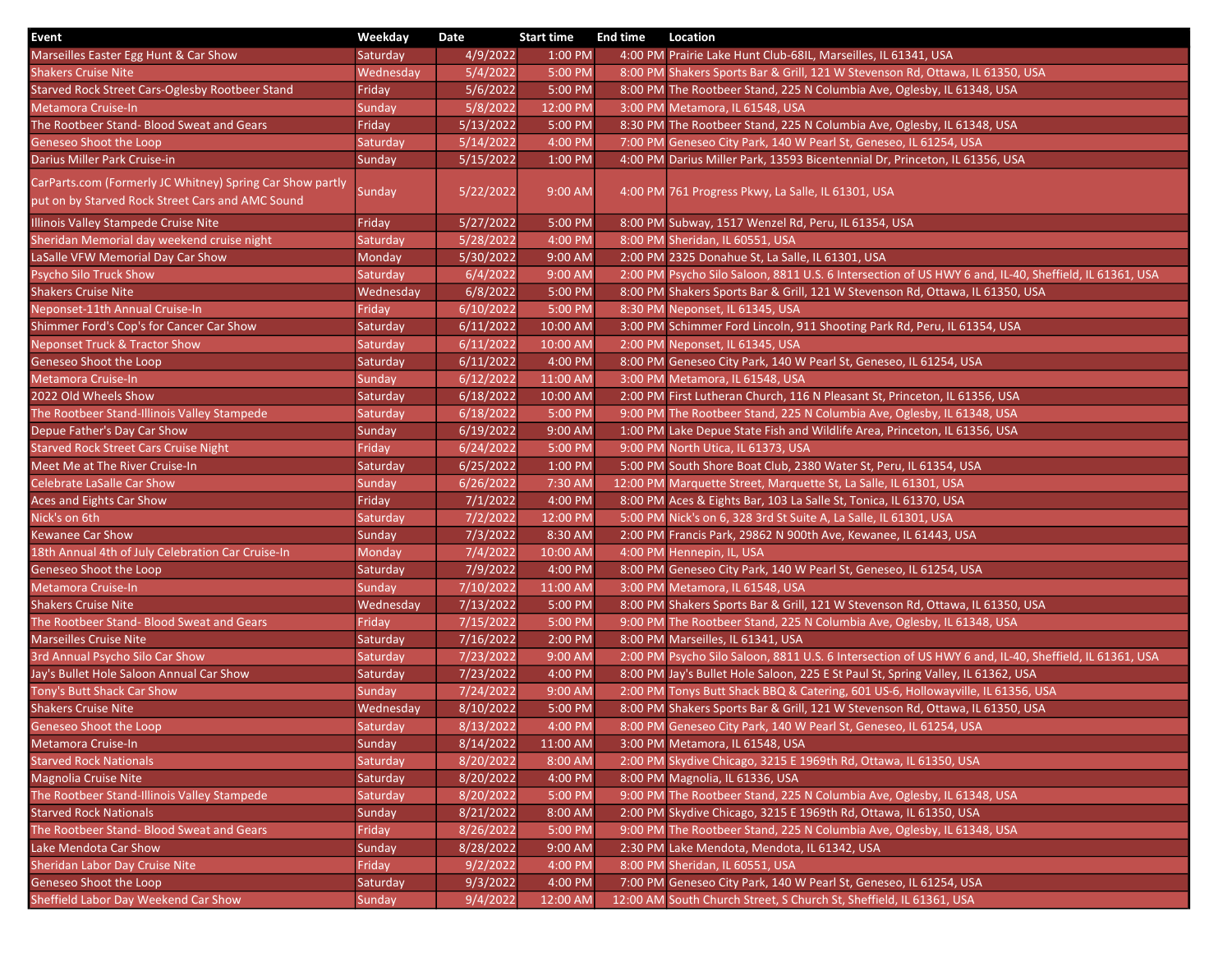| Event                                                                                                         | Weekday         | Date               | <b>Start time</b>   | <b>End time</b> | Location                                                                                              |
|---------------------------------------------------------------------------------------------------------------|-----------------|--------------------|---------------------|-----------------|-------------------------------------------------------------------------------------------------------|
| Marseilles Easter Egg Hunt & Car Show                                                                         | Saturday        | 4/9/2022           | 1:00 PM             |                 | 4:00 PM Prairie Lake Hunt Club-68IL, Marseilles, IL 61341, USA                                        |
| <b>Shakers Cruise Nite</b>                                                                                    | Wednesday       | 5/4/2022           | 5:00 PM             |                 | 8:00 PM Shakers Sports Bar & Grill, 121 W Stevenson Rd, Ottawa, IL 61350, USA                         |
| Starved Rock Street Cars-Oglesby Rootbeer Stand                                                               | Friday          | 5/6/2022           | 5:00 PM             |                 | 8:00 PM The Rootbeer Stand, 225 N Columbia Ave, Oglesby, IL 61348, USA                                |
| Metamora Cruise-In                                                                                            | Sunday          | 5/8/2022           | 12:00 PM            |                 | 3:00 PM Metamora, IL 61548, USA                                                                       |
| The Rootbeer Stand- Blood Sweat and Gears                                                                     | Friday          | 5/13/2022          | 5:00 PM             |                 | 8:30 PM The Rootbeer Stand, 225 N Columbia Ave, Oglesby, IL 61348, USA                                |
| <b>Geneseo Shoot the Loop</b>                                                                                 | <b>Saturday</b> | 5/14/2022          | 4:00 PM             |                 | 7:00 PM Geneseo City Park, 140 W Pearl St, Geneseo, IL 61254, USA                                     |
| Darius Miller Park Cruise-in                                                                                  | Sunday          | 5/15/2022          | 1:00 PM             |                 | 4:00 PM Darius Miller Park, 13593 Bicentennial Dr, Princeton, IL 61356, USA                           |
| CarParts.com (Formerly JC Whitney) Spring Car Show partly<br>put on by Starved Rock Street Cars and AMC Sound | Sunday          | $\sqrt{5/22/2022}$ | 9:00 AM             |                 | 4:00 PM 761 Progress Pkwy, La Salle, IL 61301, USA                                                    |
| Illinois Valley Stampede Cruise Nite                                                                          | Friday          | 5/27/2022          | $5:00$ PM           |                 | 8:00 PM Subway, 1517 Wenzel Rd, Peru, IL 61354, USA                                                   |
| Sheridan Memorial day weekend cruise night                                                                    | Saturday        | 5/28/2022          | 4:00 PM             |                 | 8:00 PM Sheridan, IL 60551, USA                                                                       |
| LaSalle VFW Memorial Day Car Show                                                                             | Monday          | 5/30/2022          | 9:00 AM             |                 | 2:00 PM 2325 Donahue St, La Salle, IL 61301, USA                                                      |
| Psycho Silo Truck Show                                                                                        | Saturday        | 6/4/2022           | 9:00 AM             |                 | 2:00 PM Psycho Silo Saloon, 8811 U.S. 6 Intersection of US HWY 6 and, IL-40, Sheffield, IL 61361, USA |
| <b>Shakers Cruise Nite</b>                                                                                    | Wednesday       | 6/8/2022           | 5:00 PM             |                 | 8:00 PM Shakers Sports Bar & Grill, 121 W Stevenson Rd, Ottawa, IL 61350, USA                         |
| Neponset-11th Annual Cruise-In                                                                                | Friday          | 6/10/2022          | 5:00 PM             |                 | 8:30 PM Neponset, IL 61345, USA                                                                       |
| Shimmer Ford's Cop's for Cancer Car Show                                                                      | Saturday        | 6/11/2022          | 10:00 AM            |                 | 3:00 PM Schimmer Ford Lincoln, 911 Shooting Park Rd, Peru, IL 61354, USA                              |
| <b>Neponset Truck &amp; Tractor Show</b>                                                                      | Saturday        | 6/11/2022          | 10:00 AM            |                 | 2:00 PM Neponset, IL 61345, USA                                                                       |
| Geneseo Shoot the Loop                                                                                        | Saturday        | 6/11/2022          | 4:00 PM             |                 | 8:00 PM Geneseo City Park, 140 W Pearl St, Geneseo, IL 61254, USA                                     |
| Metamora Cruise-In                                                                                            | Sunday          | 6/12/2022          | 11:00 AM            |                 | 3:00 PM Metamora, IL 61548, USA                                                                       |
| 2022 Old Wheels Show                                                                                          | Saturday        | 6/18/2022          | 10:00 AM            |                 | 2:00 PM First Lutheran Church, 116 N Pleasant St, Princeton, IL 61356, USA                            |
| The Rootbeer Stand-Illinois Valley Stampede                                                                   | Saturday        | 6/18/2022          | 5:00 PM             |                 | 9:00 PM The Rootbeer Stand, 225 N Columbia Ave, Oglesby, IL 61348, USA                                |
| Depue Father's Day Car Show                                                                                   | Sunday          | 6/19/2022          | 9:00 AM             |                 | 1:00 PM Lake Depue State Fish and Wildlife Area, Princeton, IL 61356, USA                             |
| <b>Starved Rock Street Cars Cruise Night</b>                                                                  | Friday          | 6/24/2022          | 5:00 PM             |                 | 9:00 PM North Utica, IL 61373, USA                                                                    |
| Meet Me at The River Cruise-In                                                                                | Saturday        | 6/25/2022          | 1:00 PM             |                 | 5:00 PM South Shore Boat Club, 2380 Water St, Peru, IL 61354, USA                                     |
| Celebrate LaSalle Car Show                                                                                    | Sunday          | 6/26/2022          | 7:30 AM             |                 | 12:00 PM Marquette Street, Marquette St, La Salle, IL 61301, USA                                      |
| Aces and Eights Car Show                                                                                      | Friday          | 7/1/2022           | 4:00 PM             |                 | 8:00 PM Aces & Eights Bar, 103 La Salle St, Tonica, IL 61370, USA                                     |
| Nick's on 6th                                                                                                 | Saturday        | 7/2/2022           | 12:00 PM            |                 | 5:00 PM Nick's on 6, 328 3rd St Suite A, La Salle, IL 61301, USA                                      |
| Kewanee Car Show                                                                                              | Sunday          | 7/3/2022           | 8:30 AM             |                 | 2:00 PM Francis Park, 29862 N 900th Ave, Kewanee, IL 61443, USA                                       |
| 18th Annual 4th of July Celebration Car Cruise-In                                                             | Monday          | 7/4/2022           | 10:00 AM            |                 | 4:00 PM Hennepin, IL, USA                                                                             |
| Geneseo Shoot the Loop                                                                                        | Saturday        | 7/9/2022           | 4:00 PM             |                 | 8:00 PM Geneseo City Park, 140 W Pearl St, Geneseo, IL 61254, USA                                     |
| Metamora Cruise-In                                                                                            | Sunday          | 7/10/2022          | 11:00 AM            |                 | 3:00 PM Metamora, IL 61548, USA                                                                       |
| <b>Shakers Cruise Nite</b>                                                                                    | Wednesday       | 7/13/2022          | 5:00 PM             |                 | 8:00 PM Shakers Sports Bar & Grill, 121 W Stevenson Rd, Ottawa, IL 61350, USA                         |
| The Rootbeer Stand- Blood Sweat and Gears                                                                     | Friday          | 7/15/2022          | 5:00 PM             |                 | 9:00 PM The Rootbeer Stand, 225 N Columbia Ave, Oglesby, IL 61348, USA                                |
| <b>Marseilles Cruise Nite</b>                                                                                 | Saturday        | 7/16/2022          | 2:00 PM             |                 | 8:00 PM Marseilles, IL 61341, USA                                                                     |
| 3rd Annual Psycho Silo Car Show                                                                               | Saturday        | 7/23/2022          | 9:00 AM             |                 | 2:00 PM Psycho Silo Saloon, 8811 U.S. 6 Intersection of US HWY 6 and, IL-40, Sheffield, IL 61361, USA |
| Jay's Bullet Hole Saloon Annual Car Show                                                                      | Saturday        | 7/23/2022          | 4:00 PM             |                 | 8:00 PM Jay's Bullet Hole Saloon, 225 E St Paul St, Spring Valley, IL 61362, USA                      |
| Tony's Butt Shack Car Show                                                                                    | Sunday          | 7/24/2022          | 9:00 AM             |                 | 2:00 PM Tonys Butt Shack BBQ & Catering, 601 US-6, Hollowayville, IL 61356, USA                       |
| <b>Shakers Cruise Nite</b>                                                                                    | Wednesday       | 8/10/2022          | 5:00 PM             |                 | 8:00 PM Shakers Sports Bar & Grill, 121 W Stevenson Rd, Ottawa, IL 61350, USA                         |
| Geneseo Shoot the Loop                                                                                        | Saturday        | 8/13/2022          | $4:00 \, \text{PM}$ |                 | 8:00 PM Geneseo City Park, 140 W Pearl St, Geneseo, IL 61254, USA                                     |
| Metamora Cruise-In                                                                                            | Sunday          | 8/14/2022          | 11:00 AM            |                 | 3:00 PM Metamora, IL 61548, USA                                                                       |
| <b>Starved Rock Nationals</b>                                                                                 | Saturday        | 8/20/2022          | 8:00 AM             |                 | 2:00 PM Skydive Chicago, 3215 E 1969th Rd, Ottawa, IL 61350, USA                                      |
| Magnolia Cruise Nite                                                                                          | Saturday        | 8/20/2022          | 4:00 PM             |                 | 8:00 PM Magnolia, IL 61336, USA                                                                       |
| The Rootbeer Stand-Illinois Valley Stampede                                                                   | Saturday        | 8/20/2022          | 5:00 PM             |                 | 9:00 PM The Rootbeer Stand, 225 N Columbia Ave, Oglesby, IL 61348, USA                                |
| <b>Starved Rock Nationals</b>                                                                                 | Sunday          | 8/21/2022          | 8:00 AM             |                 | 2:00 PM Skydive Chicago, 3215 E 1969th Rd, Ottawa, IL 61350, USA                                      |
| The Rootbeer Stand- Blood Sweat and Gears                                                                     | Friday          | 8/26/2022          | 5:00 PM             |                 | 9:00 PM The Rootbeer Stand, 225 N Columbia Ave, Oglesby, IL 61348, USA                                |
| Lake Mendota Car Show                                                                                         | Sunday          | 8/28/2022          | 9:00 AM             |                 | 2:30 PM Lake Mendota, Mendota, IL 61342, USA                                                          |
| Sheridan Labor Day Cruise Nite                                                                                | Friday          | 9/2/2022           | 4:00 PM             |                 | 8:00 PM Sheridan, IL 60551, USA                                                                       |
| Geneseo Shoot the Loop                                                                                        | Saturday        | 9/3/2022           | 4:00 PM             |                 | 7:00 PM Geneseo City Park, 140 W Pearl St, Geneseo, IL 61254, USA                                     |
| Sheffield Labor Day Weekend Car Show                                                                          | Sunday          | 9/4/2022           | 12:00 AM            |                 | 12:00 AM South Church Street, S Church St, Sheffield, IL 61361, USA                                   |